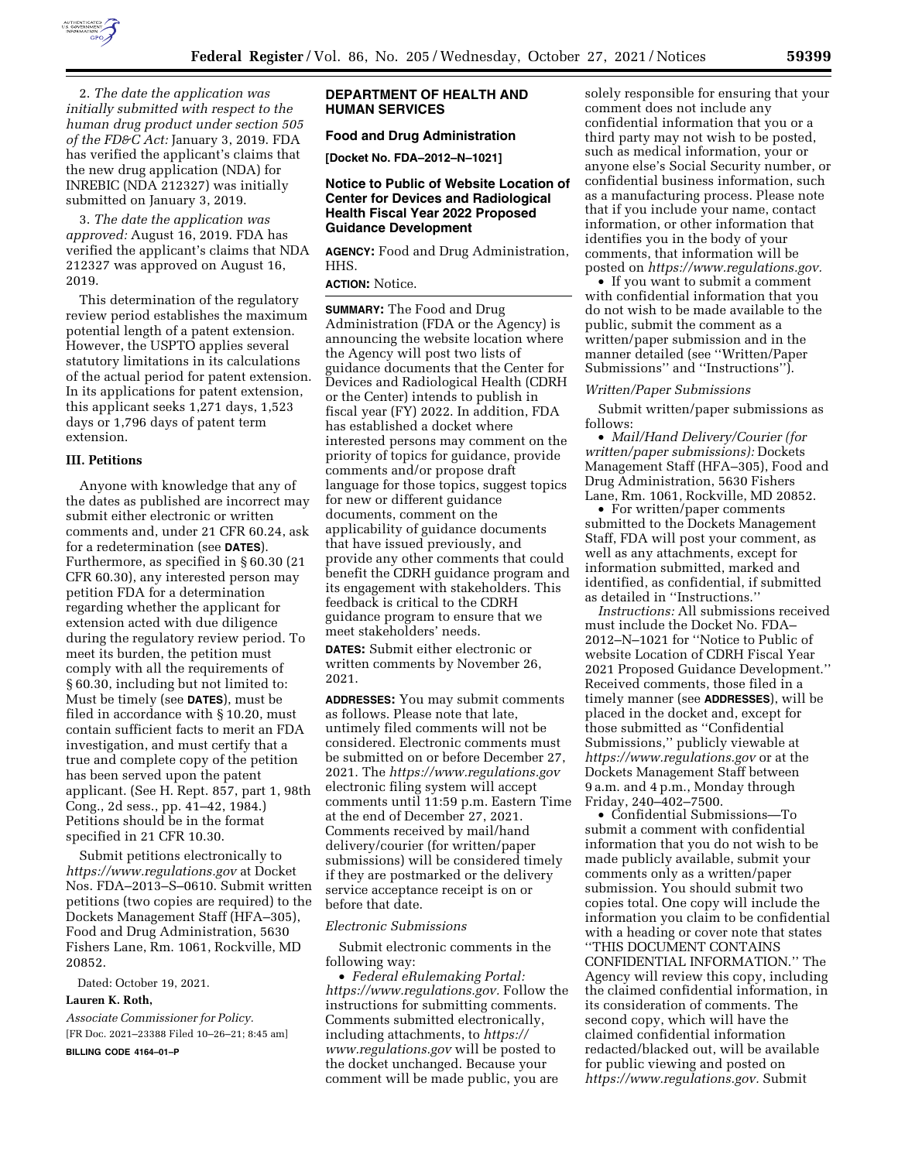

2. *The date the application was initially submitted with respect to the human drug product under section 505 of the FD&C Act:* January 3, 2019. FDA has verified the applicant's claims that the new drug application (NDA) for INREBIC (NDA 212327) was initially submitted on January 3, 2019.

3. *The date the application was approved:* August 16, 2019. FDA has verified the applicant's claims that NDA 212327 was approved on August 16, 2019.

This determination of the regulatory review period establishes the maximum potential length of a patent extension. However, the USPTO applies several statutory limitations in its calculations of the actual period for patent extension. In its applications for patent extension, this applicant seeks 1,271 days, 1,523 days or 1,796 days of patent term extension.

#### **III. Petitions**

Anyone with knowledge that any of the dates as published are incorrect may submit either electronic or written comments and, under 21 CFR 60.24, ask for a redetermination (see **DATES**). Furthermore, as specified in § 60.30 (21 CFR 60.30), any interested person may petition FDA for a determination regarding whether the applicant for extension acted with due diligence during the regulatory review period. To meet its burden, the petition must comply with all the requirements of § 60.30, including but not limited to: Must be timely (see **DATES**), must be filed in accordance with § 10.20, must contain sufficient facts to merit an FDA investigation, and must certify that a true and complete copy of the petition has been served upon the patent applicant. (See H. Rept. 857, part 1, 98th Cong., 2d sess., pp. 41–42, 1984.) Petitions should be in the format specified in 21 CFR 10.30.

Submit petitions electronically to *<https://www.regulations.gov>* at Docket Nos. FDA–2013–S–0610. Submit written petitions (two copies are required) to the Dockets Management Staff (HFA–305), Food and Drug Administration, 5630 Fishers Lane, Rm. 1061, Rockville, MD 20852.

Dated: October 19, 2021.

#### **Lauren K. Roth,**

*Associate Commissioner for Policy.*  [FR Doc. 2021–23388 Filed 10–26–21; 8:45 am]

**BILLING CODE 4164–01–P** 

#### **DEPARTMENT OF HEALTH AND HUMAN SERVICES**

# **Food and Drug Administration**

**[Docket No. FDA–2012–N–1021]** 

#### **Notice to Public of Website Location of Center for Devices and Radiological Health Fiscal Year 2022 Proposed Guidance Development**

**AGENCY:** Food and Drug Administration, HHS.

**ACTION:** Notice.

**SUMMARY:** The Food and Drug Administration (FDA or the Agency) is announcing the website location where the Agency will post two lists of guidance documents that the Center for Devices and Radiological Health (CDRH or the Center) intends to publish in fiscal year (FY) 2022. In addition, FDA has established a docket where interested persons may comment on the priority of topics for guidance, provide comments and/or propose draft language for those topics, suggest topics for new or different guidance documents, comment on the applicability of guidance documents that have issued previously, and provide any other comments that could benefit the CDRH guidance program and its engagement with stakeholders. This feedback is critical to the CDRH guidance program to ensure that we meet stakeholders' needs.

**DATES:** Submit either electronic or written comments by November 26, 2021.

**ADDRESSES:** You may submit comments as follows. Please note that late, untimely filed comments will not be considered. Electronic comments must be submitted on or before December 27, 2021. The *<https://www.regulations.gov>* electronic filing system will accept comments until 11:59 p.m. Eastern Time at the end of December 27, 2021. Comments received by mail/hand delivery/courier (for written/paper submissions) will be considered timely if they are postmarked or the delivery service acceptance receipt is on or before that date.

#### *Electronic Submissions*

Submit electronic comments in the following way:

• *Federal eRulemaking Portal: [https://www.regulations.gov.](https://www.regulations.gov)* Follow the instructions for submitting comments. Comments submitted electronically, including attachments, to *[https://](https://www.regulations.gov) [www.regulations.gov](https://www.regulations.gov)* will be posted to the docket unchanged. Because your comment will be made public, you are

solely responsible for ensuring that your comment does not include any confidential information that you or a third party may not wish to be posted, such as medical information, your or anyone else's Social Security number, or confidential business information, such as a manufacturing process. Please note that if you include your name, contact information, or other information that identifies you in the body of your comments, that information will be posted on *[https://www.regulations.gov.](https://www.regulations.gov)* 

• If you want to submit a comment with confidential information that you do not wish to be made available to the public, submit the comment as a written/paper submission and in the manner detailed (see ''Written/Paper Submissions'' and ''Instructions'').

#### *Written/Paper Submissions*

Submit written/paper submissions as follows:

• *Mail/Hand Delivery/Courier (for written/paper submissions):* Dockets Management Staff (HFA–305), Food and Drug Administration, 5630 Fishers Lane, Rm. 1061, Rockville, MD 20852.

• For written/paper comments submitted to the Dockets Management Staff, FDA will post your comment, as well as any attachments, except for information submitted, marked and identified, as confidential, if submitted as detailed in ''Instructions.''

*Instructions:* All submissions received must include the Docket No. FDA– 2012–N–1021 for ''Notice to Public of website Location of CDRH Fiscal Year 2021 Proposed Guidance Development.'' Received comments, those filed in a timely manner (see **ADDRESSES**), will be placed in the docket and, except for those submitted as ''Confidential Submissions,'' publicly viewable at *<https://www.regulations.gov>* or at the Dockets Management Staff between 9 a.m. and 4 p.m., Monday through Friday, 240–402–7500.

• Confidential Submissions—To submit a comment with confidential information that you do not wish to be made publicly available, submit your comments only as a written/paper submission. You should submit two copies total. One copy will include the information you claim to be confidential with a heading or cover note that states ''THIS DOCUMENT CONTAINS CONFIDENTIAL INFORMATION.'' The Agency will review this copy, including the claimed confidential information, in its consideration of comments. The second copy, which will have the claimed confidential information redacted/blacked out, will be available for public viewing and posted on *[https://www.regulations.gov.](https://www.regulations.gov)* Submit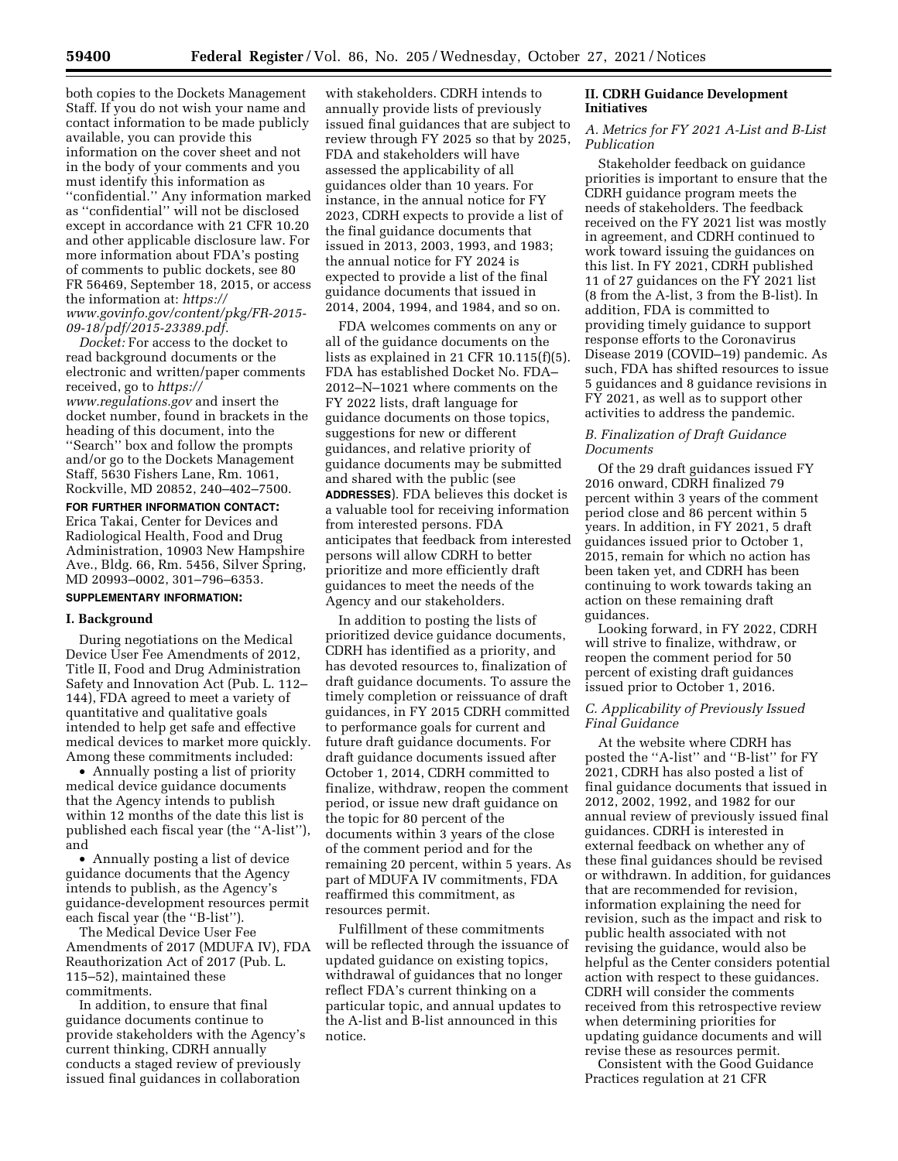both copies to the Dockets Management Staff. If you do not wish your name and contact information to be made publicly available, you can provide this information on the cover sheet and not in the body of your comments and you must identify this information as ''confidential.'' Any information marked as ''confidential'' will not be disclosed except in accordance with 21 CFR 10.20 and other applicable disclosure law. For more information about FDA's posting of comments to public dockets, see 80 FR 56469, September 18, 2015, or access the information at: *[https://](https://www.govinfo.gov/content/pkg/FR-2015-09-18/pdf/2015-23389.pdf) [www.govinfo.gov/content/pkg/FR-2015-](https://www.govinfo.gov/content/pkg/FR-2015-09-18/pdf/2015-23389.pdf) [09-18/pdf/2015-23389.pdf.](https://www.govinfo.gov/content/pkg/FR-2015-09-18/pdf/2015-23389.pdf)* 

*Docket:* For access to the docket to read background documents or the electronic and written/paper comments received, go to *[https://](https://www.regulations.gov) [www.regulations.gov](https://www.regulations.gov)* and insert the docket number, found in brackets in the heading of this document, into the ''Search'' box and follow the prompts and/or go to the Dockets Management Staff, 5630 Fishers Lane, Rm. 1061, Rockville, MD 20852, 240–402–7500.

**FOR FURTHER INFORMATION CONTACT:**  Erica Takai, Center for Devices and Radiological Health, Food and Drug Administration, 10903 New Hampshire Ave., Bldg. 66, Rm. 5456, Silver Spring, MD 20993–0002, 301–796–6353.

# **SUPPLEMENTARY INFORMATION:**

#### **I. Background**

During negotiations on the Medical Device User Fee Amendments of 2012, Title II, Food and Drug Administration Safety and Innovation Act (Pub. L. 112– 144), FDA agreed to meet a variety of quantitative and qualitative goals intended to help get safe and effective medical devices to market more quickly. Among these commitments included:

• Annually posting a list of priority medical device guidance documents that the Agency intends to publish within 12 months of the date this list is published each fiscal year (the ''A-list''), and

• Annually posting a list of device guidance documents that the Agency intends to publish, as the Agency's guidance-development resources permit each fiscal year (the ''B-list'').

The Medical Device User Fee Amendments of 2017 (MDUFA IV), FDA Reauthorization Act of 2017 (Pub. L. 115–52), maintained these commitments.

In addition, to ensure that final guidance documents continue to provide stakeholders with the Agency's current thinking, CDRH annually conducts a staged review of previously issued final guidances in collaboration

with stakeholders. CDRH intends to annually provide lists of previously issued final guidances that are subject to review through FY 2025 so that by 2025, FDA and stakeholders will have assessed the applicability of all guidances older than 10 years. For instance, in the annual notice for FY 2023, CDRH expects to provide a list of the final guidance documents that issued in 2013, 2003, 1993, and 1983; the annual notice for FY 2024 is expected to provide a list of the final guidance documents that issued in 2014, 2004, 1994, and 1984, and so on.

FDA welcomes comments on any or all of the guidance documents on the lists as explained in 21 CFR 10.115(f)(5). FDA has established Docket No. FDA– 2012–N–1021 where comments on the FY 2022 lists, draft language for guidance documents on those topics, suggestions for new or different guidances, and relative priority of guidance documents may be submitted and shared with the public (see **ADDRESSES**). FDA believes this docket is a valuable tool for receiving information from interested persons. FDA anticipates that feedback from interested persons will allow CDRH to better prioritize and more efficiently draft guidances to meet the needs of the Agency and our stakeholders.

In addition to posting the lists of prioritized device guidance documents, CDRH has identified as a priority, and has devoted resources to, finalization of draft guidance documents. To assure the timely completion or reissuance of draft guidances, in FY 2015 CDRH committed to performance goals for current and future draft guidance documents. For draft guidance documents issued after October 1, 2014, CDRH committed to finalize, withdraw, reopen the comment period, or issue new draft guidance on the topic for 80 percent of the documents within 3 years of the close of the comment period and for the remaining 20 percent, within 5 years. As part of MDUFA IV commitments, FDA reaffirmed this commitment, as resources permit.

Fulfillment of these commitments will be reflected through the issuance of updated guidance on existing topics, withdrawal of guidances that no longer reflect FDA's current thinking on a particular topic, and annual updates to the A-list and B-list announced in this notice.

# **II. CDRH Guidance Development Initiatives**

### *A. Metrics for FY 2021 A-List and B-List Publication*

Stakeholder feedback on guidance priorities is important to ensure that the CDRH guidance program meets the needs of stakeholders. The feedback received on the FY 2021 list was mostly in agreement, and CDRH continued to work toward issuing the guidances on this list. In FY 2021, CDRH published 11 of 27 guidances on the FY 2021 list (8 from the A-list, 3 from the B-list). In addition, FDA is committed to providing timely guidance to support response efforts to the Coronavirus Disease 2019 (COVID–19) pandemic. As such, FDA has shifted resources to issue 5 guidances and 8 guidance revisions in FY 2021, as well as to support other activities to address the pandemic.

# *B. Finalization of Draft Guidance Documents*

Of the 29 draft guidances issued FY 2016 onward, CDRH finalized 79 percent within 3 years of the comment period close and 86 percent within 5 years. In addition, in FY 2021, 5 draft guidances issued prior to October 1, 2015, remain for which no action has been taken yet, and CDRH has been continuing to work towards taking an action on these remaining draft guidances.

Looking forward, in FY 2022, CDRH will strive to finalize, withdraw, or reopen the comment period for 50 percent of existing draft guidances issued prior to October 1, 2016.

## *C. Applicability of Previously Issued Final Guidance*

At the website where CDRH has posted the ''A-list'' and ''B-list'' for FY 2021, CDRH has also posted a list of final guidance documents that issued in 2012, 2002, 1992, and 1982 for our annual review of previously issued final guidances. CDRH is interested in external feedback on whether any of these final guidances should be revised or withdrawn. In addition, for guidances that are recommended for revision, information explaining the need for revision, such as the impact and risk to public health associated with not revising the guidance, would also be helpful as the Center considers potential action with respect to these guidances. CDRH will consider the comments received from this retrospective review when determining priorities for updating guidance documents and will revise these as resources permit.

Consistent with the Good Guidance Practices regulation at 21 CFR